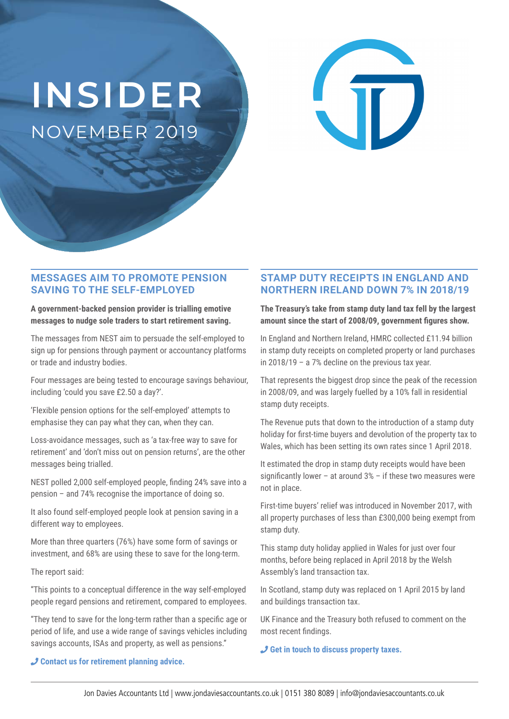# **INSIDER** NOVEMBER 2019



### **MESSAGES AIM TO PROMOTE PENSION SAVING TO THE SELF-EMPLOYED**

**A government-backed pension provider is trialling emotive messages to nudge sole traders to start retirement saving.** 

The messages from NEST aim to persuade the self-employed to sign up for pensions through payment or accountancy platforms or trade and industry bodies.

Four messages are being tested to encourage savings behaviour, including 'could you save £2.50 a day?'.

'Flexible pension options for the self-employed' attempts to emphasise they can pay what they can, when they can.

Loss-avoidance messages, such as 'a tax-free way to save for retirement' and 'don't miss out on pension returns', are the other messages being trialled.

NEST polled 2,000 self-employed people, finding 24% save into a pension – and 74% recognise the importance of doing so.

It also found self-employed people look at pension saving in a different way to employees.

More than three quarters (76%) have some form of savings or investment, and 68% are using these to save for the long-term.

The report said:

"This points to a conceptual difference in the way self-employed people regard pensions and retirement, compared to employees.

"They tend to save for the long-term rather than a specific age or period of life, and use a wide range of savings vehicles including savings accounts, ISAs and property, as well as pensions."

### **STAMP DUTY RECEIPTS IN ENGLAND AND NORTHERN IRELAND DOWN 7% IN 2018/19**

**The Treasury's take from stamp duty land tax fell by the largest amount since the start of 2008/09, government figures show.** 

In England and Northern Ireland, HMRC collected £11.94 billion in stamp duty receipts on completed property or land purchases in 2018/19 – a 7% decline on the previous tax year.

That represents the biggest drop since the peak of the recession in 2008/09, and was largely fuelled by a 10% fall in residential stamp duty receipts.

The Revenue puts that down to the introduction of a stamp duty holiday for first-time buyers and devolution of the property tax to Wales, which has been setting its own rates since 1 April 2018.

It estimated the drop in stamp duty receipts would have been significantly lower – at around 3% – if these two measures were not in place.

First-time buyers' relief was introduced in November 2017, with all property purchases of less than £300,000 being exempt from stamp duty.

This stamp duty holiday applied in Wales for just over four months, before being replaced in April 2018 by the Welsh Assembly's land transaction tax.

In Scotland, stamp duty was replaced on 1 April 2015 by land and buildings transaction tax.

UK Finance and the Treasury both refused to comment on the most recent findings.

¶ **Get in touch to discuss property taxes.**

#### ¶ **Contact us for retirement planning advice.**